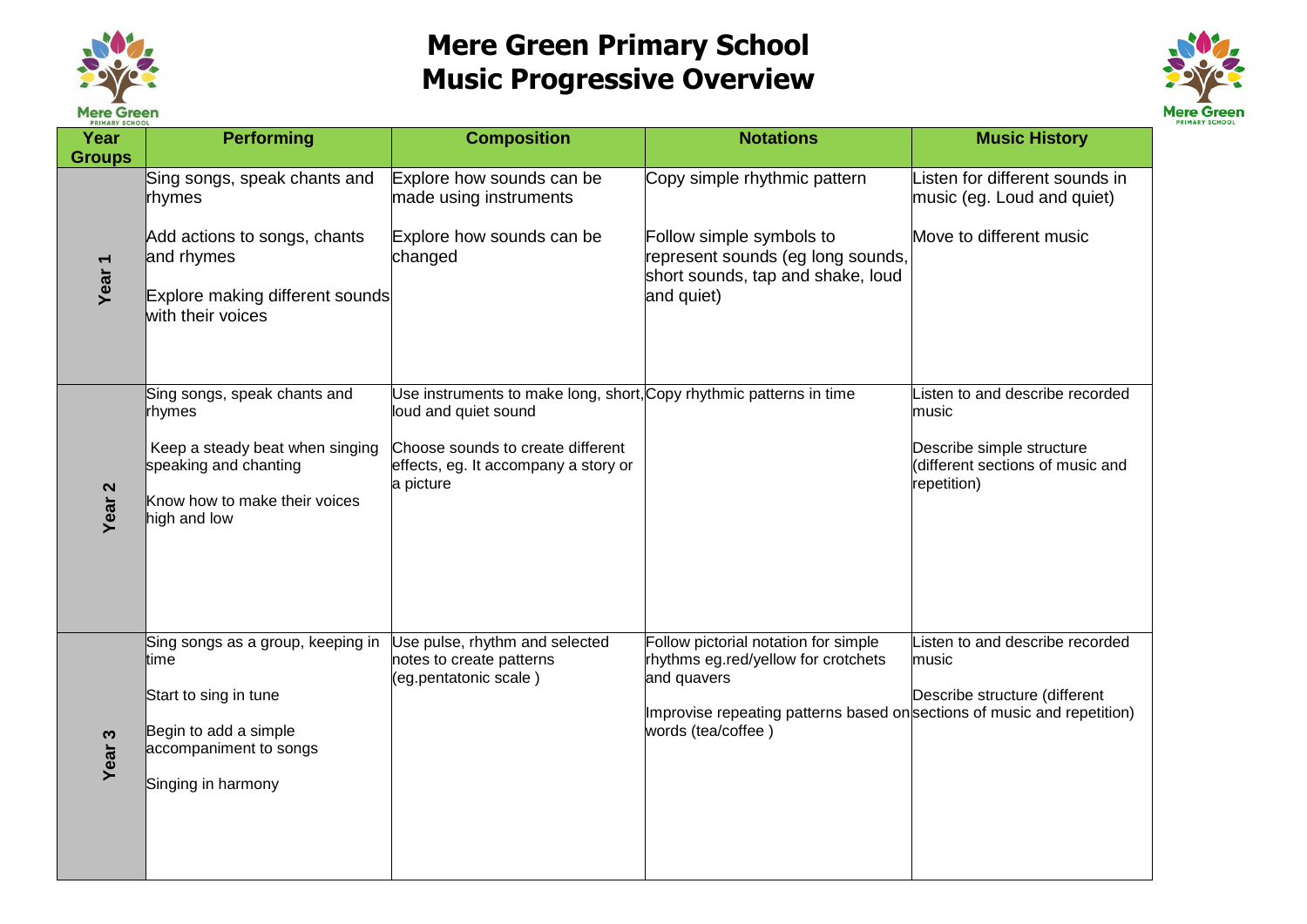

## **Mere Green Primary School Music Progressive Overview**



| <b>PRIMARY SCHOOL</b><br>Year | <b>Performing</b>                                                                                                                                   | <b>Composition</b>                                                                                                                                                                    | <b>Notations</b>                                                                                                                                                                            | <b>Music History</b>                                                                                                    |
|-------------------------------|-----------------------------------------------------------------------------------------------------------------------------------------------------|---------------------------------------------------------------------------------------------------------------------------------------------------------------------------------------|---------------------------------------------------------------------------------------------------------------------------------------------------------------------------------------------|-------------------------------------------------------------------------------------------------------------------------|
| <b>Groups</b>                 |                                                                                                                                                     |                                                                                                                                                                                       |                                                                                                                                                                                             |                                                                                                                         |
| Year <sub>1</sub>             | Sing songs, speak chants and<br>rhymes<br>Add actions to songs, chants<br>and rhymes<br>Explore making different sounds<br>with their voices        | Explore how sounds can be<br>made using instruments<br>Explore how sounds can be<br>changed                                                                                           | Copy simple rhythmic pattern<br>Follow simple symbols to<br>represent sounds (eg long sounds,<br>short sounds, tap and shake, loud<br>and quiet)                                            | Listen for different sounds in<br>music (eg. Loud and quiet)<br>Move to different music                                 |
| Year <sub>2</sub>             | Sing songs, speak chants and<br>rhymes<br>Keep a steady beat when singing<br>speaking and chanting<br>Know how to make their voices<br>high and low | Use instruments to make long, short, Copy rhythmic patterns in time<br>loud and quiet sound<br>Choose sounds to create different<br>effects, eg. It accompany a story or<br>a picture |                                                                                                                                                                                             | Listen to and describe recorded<br>music<br>Describe simple structure<br>different sections of music and<br>repetition) |
| Year <sub>3</sub>             | Sing songs as a group, keeping in<br>ltime<br>Start to sing in tune<br>Begin to add a simple<br>accompaniment to songs<br>Singing in harmony        | Use pulse, rhythm and selected<br>notes to create patterns<br>(eg.pentatonic scale)                                                                                                   | Follow pictorial notation for simple<br>rhythms eg.red/yellow for crotchets<br>and quavers<br>Improvise repeating patterns based on sections of music and repetition)<br>words (tea/coffee) | Listen to and describe recorded<br>music<br>Describe structure (different                                               |